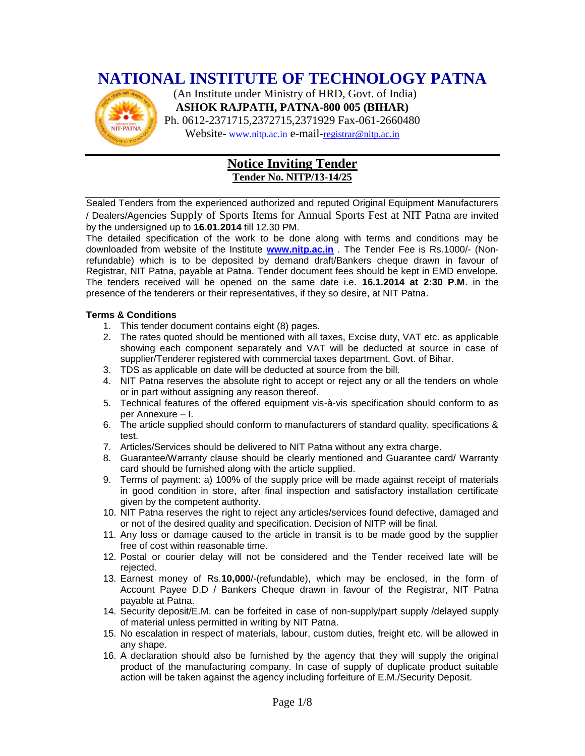# **NATIONAL INSTITUTE OF TECHNOLOGY PATNA**



 (An Institute under Ministry of HRD, Govt. of India) **ASHOK RAJPATH, PATNA-800 005 (BIHAR)** Ph. 0612-2371715,2372715,2371929 Fax-061-2660480

Website- www.nitp.ac.in e-mail-[registrar@nitp.ac.in](mailto:registrar@nitp.ac.in)

### **Notice Inviting Tender Tender No. NITP/13-14/25**

Sealed Tenders from the experienced authorized and reputed Original Equipment Manufacturers / Dealers/Agencies Supply of Sports Items for Annual Sports Fest at NIT Patna are invited by the undersigned up to **16.01.2014** till 12.30 PM.

The detailed specification of the work to be done along with terms and conditions may be downloaded from website of the Institute **[www.nitp.ac.in](http://www.nitp.ac.in/)** . The Tender Fee is Rs.1000/- (Nonrefundable) which is to be deposited by demand draft/Bankers cheque drawn in favour of Registrar, NIT Patna, payable at Patna. Tender document fees should be kept in EMD envelope. The tenders received will be opened on the same date i.e. **16.1.2014 at 2:30 P.M**. in the presence of the tenderers or their representatives, if they so desire, at NIT Patna.

#### **Terms & Conditions**

- 1. This tender document contains eight (8) pages.
- 2. The rates quoted should be mentioned with all taxes, Excise duty, VAT etc. as applicable showing each component separately and VAT will be deducted at source in case of supplier/Tenderer registered with commercial taxes department, Govt. of Bihar.
- 3. TDS as applicable on date will be deducted at source from the bill.
- 4. NIT Patna reserves the absolute right to accept or reject any or all the tenders on whole or in part without assigning any reason thereof.
- 5. Technical features of the offered equipment vis-à-vis specification should conform to as per Annexure – I.
- 6. The article supplied should conform to manufacturers of standard quality, specifications & test.
- 7. Articles/Services should be delivered to NIT Patna without any extra charge.
- 8. Guarantee/Warranty clause should be clearly mentioned and Guarantee card/ Warranty card should be furnished along with the article supplied.
- 9. Terms of payment: a) 100% of the supply price will be made against receipt of materials in good condition in store, after final inspection and satisfactory installation certificate given by the competent authority.
- 10. NIT Patna reserves the right to reject any articles/services found defective, damaged and or not of the desired quality and specification. Decision of NITP will be final.
- 11. Any loss or damage caused to the article in transit is to be made good by the supplier free of cost within reasonable time.
- 12. Postal or courier delay will not be considered and the Tender received late will be rejected.
- 13. Earnest money of Rs.**10,000**/-(refundable), which may be enclosed, in the form of Account Payee D.D / Bankers Cheque drawn in favour of the Registrar, NIT Patna payable at Patna.
- 14. Security deposit/E.M. can be forfeited in case of non-supply/part supply /delayed supply of material unless permitted in writing by NIT Patna.
- 15. No escalation in respect of materials, labour, custom duties, freight etc. will be allowed in any shape.
- 16. A declaration should also be furnished by the agency that they will supply the original product of the manufacturing company. In case of supply of duplicate product suitable action will be taken against the agency including forfeiture of E.M./Security Deposit.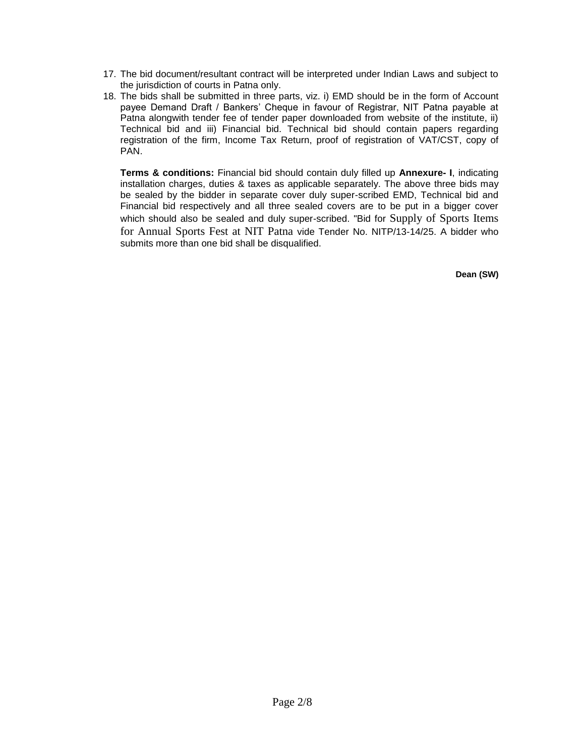- 17. The bid document/resultant contract will be interpreted under Indian Laws and subject to the jurisdiction of courts in Patna only.
- 18. The bids shall be submitted in three parts, viz. i) EMD should be in the form of Account payee Demand Draft / Bankers' Cheque in favour of Registrar, NIT Patna payable at Patna alongwith tender fee of tender paper downloaded from website of the institute, ii) Technical bid and iii) Financial bid. Technical bid should contain papers regarding registration of the firm, Income Tax Return, proof of registration of VAT/CST, copy of PAN.

**Terms & conditions:** Financial bid should contain duly filled up **Annexure- I**, indicating installation charges, duties & taxes as applicable separately. The above three bids may be sealed by the bidder in separate cover duly super-scribed EMD, Technical bid and Financial bid respectively and all three sealed covers are to be put in a bigger cover which should also be sealed and duly super-scribed. "Bid for Supply of Sports Items for Annual Sports Fest at NIT Patna vide Tender No. NITP/13-14/25. A bidder who submits more than one bid shall be disqualified.

 **Dean (SW)**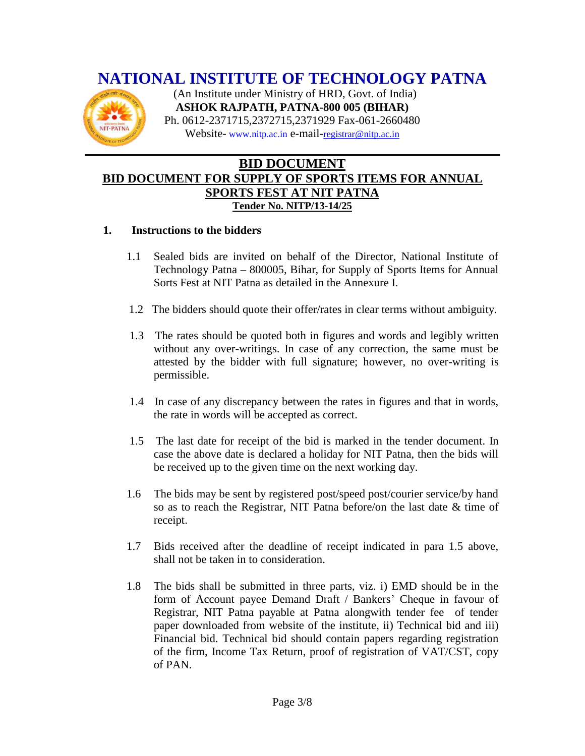# **NATIONAL INSTITUTE OF TECHNOLOGY PATNA**



 (An Institute under Ministry of HRD, Govt. of India) **ASHOK RAJPATH, PATNA-800 005 (BIHAR)** Ph. 0612-2371715,2372715,2371929 Fax-061-2660480 Website- www.nitp.ac.in e-mail-[registrar@nitp.ac.in](mailto:registrar@nitp.ac.in)

### **BID DOCUMENT BID DOCUMENT FOR SUPPLY OF SPORTS ITEMS FOR ANNUAL SPORTS FEST AT NIT PATNA Tender No. NITP/13-14/25**

#### **1. Instructions to the bidders**

- 1.1 Sealed bids are invited on behalf of the Director, National Institute of Technology Patna – 800005, Bihar, for Supply of Sports Items for Annual Sorts Fest at NIT Patna as detailed in the Annexure I.
- 1.2 The bidders should quote their offer/rates in clear terms without ambiguity.
- 1.3 The rates should be quoted both in figures and words and legibly written without any over-writings. In case of any correction, the same must be attested by the bidder with full signature; however, no over-writing is permissible.
- 1.4 In case of any discrepancy between the rates in figures and that in words, the rate in words will be accepted as correct.
- 1.5 The last date for receipt of the bid is marked in the tender document. In case the above date is declared a holiday for NIT Patna, then the bids will be received up to the given time on the next working day.
- 1.6 The bids may be sent by registered post/speed post/courier service/by hand so as to reach the Registrar, NIT Patna before/on the last date & time of receipt.
- 1.7 Bids received after the deadline of receipt indicated in para 1.5 above, shall not be taken in to consideration.
- 1.8 The bids shall be submitted in three parts, viz. i) EMD should be in the form of Account payee Demand Draft / Bankers' Cheque in favour of Registrar, NIT Patna payable at Patna alongwith tender fee of tender paper downloaded from website of the institute, ii) Technical bid and iii) Financial bid. Technical bid should contain papers regarding registration of the firm, Income Tax Return, proof of registration of VAT/CST, copy of PAN.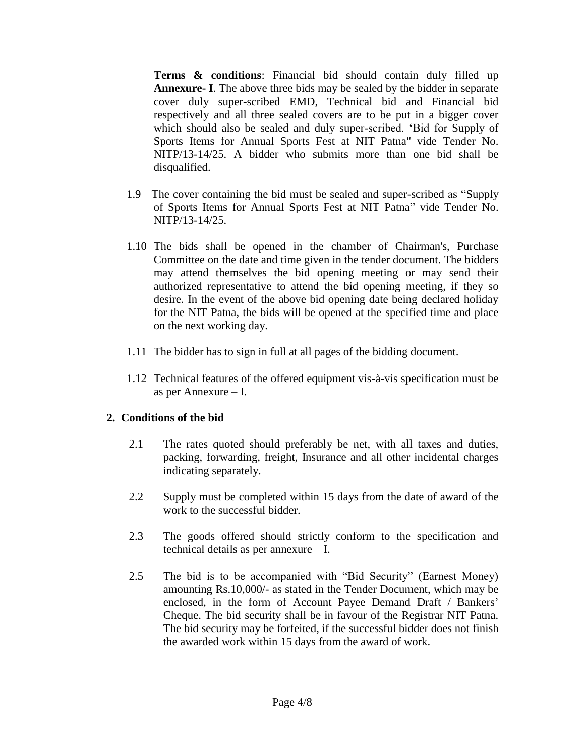**Terms & conditions**: Financial bid should contain duly filled up **Annexure- I**. The above three bids may be sealed by the bidder in separate cover duly super-scribed EMD, Technical bid and Financial bid respectively and all three sealed covers are to be put in a bigger cover which should also be sealed and duly super-scribed. 'Bid for Supply of Sports Items for Annual Sports Fest at NIT Patna" vide Tender No. NITP/13-14/25. A bidder who submits more than one bid shall be disqualified.

- 1.9 The cover containing the bid must be sealed and super-scribed as "Supply of Sports Items for Annual Sports Fest at NIT Patna" vide Tender No. NITP/13-14/25.
- 1.10 The bids shall be opened in the chamber of Chairman's, Purchase Committee on the date and time given in the tender document. The bidders may attend themselves the bid opening meeting or may send their authorized representative to attend the bid opening meeting, if they so desire. In the event of the above bid opening date being declared holiday for the NIT Patna, the bids will be opened at the specified time and place on the next working day.
- 1.11 The bidder has to sign in full at all pages of the bidding document.
- 1.12 Technical features of the offered equipment vis-à-vis specification must be as per Annexure – I.

### **2. Conditions of the bid**

- 2.1 The rates quoted should preferably be net, with all taxes and duties, packing, forwarding, freight, Insurance and all other incidental charges indicating separately.
- 2.2 Supply must be completed within 15 days from the date of award of the work to the successful bidder.
- 2.3 The goods offered should strictly conform to the specification and technical details as per annexure – I.
- 2.5 The bid is to be accompanied with "Bid Security" (Earnest Money) amounting Rs.10,000/- as stated in the Tender Document, which may be enclosed, in the form of Account Payee Demand Draft / Bankers' Cheque. The bid security shall be in favour of the Registrar NIT Patna. The bid security may be forfeited, if the successful bidder does not finish the awarded work within 15 days from the award of work.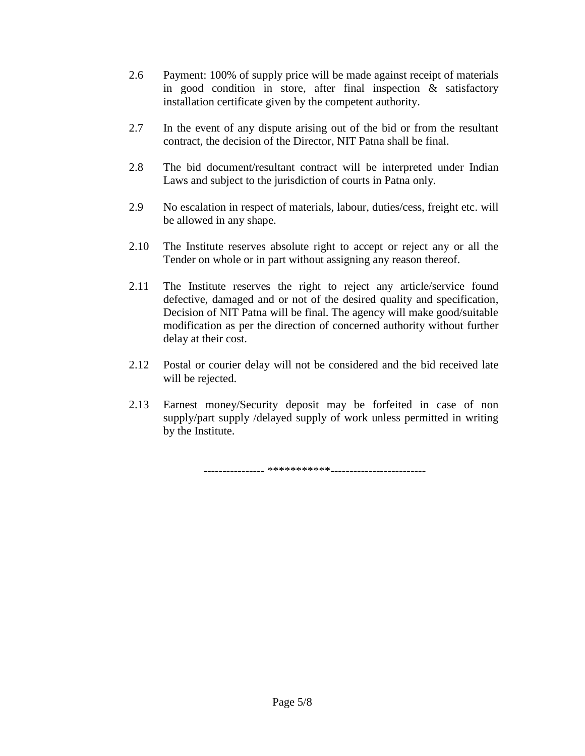- 2.6 Payment: 100% of supply price will be made against receipt of materials in good condition in store, after final inspection & satisfactory installation certificate given by the competent authority.
- 2.7 In the event of any dispute arising out of the bid or from the resultant contract, the decision of the Director, NIT Patna shall be final.
- 2.8 The bid document/resultant contract will be interpreted under Indian Laws and subject to the jurisdiction of courts in Patna only.
- 2.9 No escalation in respect of materials, labour, duties/cess, freight etc. will be allowed in any shape.
- 2.10 The Institute reserves absolute right to accept or reject any or all the Tender on whole or in part without assigning any reason thereof.
- 2.11 The Institute reserves the right to reject any article/service found defective, damaged and or not of the desired quality and specification, Decision of NIT Patna will be final. The agency will make good/suitable modification as per the direction of concerned authority without further delay at their cost.
- 2.12 Postal or courier delay will not be considered and the bid received late will be rejected.
- 2.13 Earnest money/Security deposit may be forfeited in case of non supply/part supply /delayed supply of work unless permitted in writing by the Institute.

---------------- \*\*\*\*\*\*\*\*\*\*\*-------------------------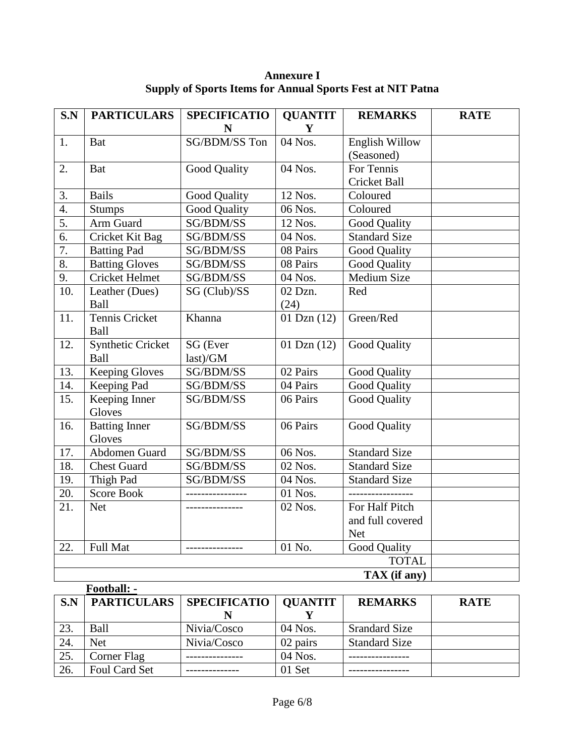| S.N               | <b>PARTICULARS</b>       | <b>SPECIFICATIO</b><br>N | <b>QUANTIT</b><br>Y | <b>REMARKS</b>       | <b>RATE</b> |  |  |
|-------------------|--------------------------|--------------------------|---------------------|----------------------|-------------|--|--|
| 1.                | <b>Bat</b>               | SG/BDM/SS Ton            | 04 Nos.             | English Willow       |             |  |  |
|                   |                          |                          |                     | (Seasoned)           |             |  |  |
| 2.                | <b>Bat</b>               | Good Quality             | 04 Nos.             | For Tennis           |             |  |  |
|                   |                          |                          |                     | Cricket Ball         |             |  |  |
| 3.                | <b>Bails</b>             | Good Quality             | 12 Nos.             | Coloured             |             |  |  |
| 4.                | <b>Stumps</b>            | Good Quality             | 06 Nos.             | Coloured             |             |  |  |
| 5.                | Arm Guard                | SG/BDM/SS                | 12 Nos.             | Good Quality         |             |  |  |
| 6.                | Cricket Kit Bag          | SG/BDM/SS                | 04 Nos.             | <b>Standard Size</b> |             |  |  |
| $\overline{7}$ .  | <b>Batting Pad</b>       | SG/BDM/SS                | 08 Pairs            | Good Quality         |             |  |  |
| 8.                | <b>Batting Gloves</b>    | SG/BDM/SS                | 08 Pairs            | Good Quality         |             |  |  |
| 9.                | <b>Cricket Helmet</b>    | SG/BDM/SS                | 04 Nos.             | <b>Medium Size</b>   |             |  |  |
| 10.               | Leather (Dues)           | SG (Club)/SS             | 02 Dzn.             | Red                  |             |  |  |
|                   | Ball                     |                          | (24)                |                      |             |  |  |
| 11.               | <b>Tennis Cricket</b>    | Khanna                   | 01 Dzn $(12)$       | Green/Red            |             |  |  |
|                   | Ball                     |                          |                     |                      |             |  |  |
| 12.               | <b>Synthetic Cricket</b> | SG (Ever                 | 01 Dzn $(12)$       | Good Quality         |             |  |  |
|                   | Ball                     | last)/GM                 |                     |                      |             |  |  |
| 13.               | <b>Keeping Gloves</b>    | SG/BDM/SS                | 02 Pairs            | Good Quality         |             |  |  |
| 14.               | Keeping Pad              | SG/BDM/SS                | 04 Pairs            | <b>Good Quality</b>  |             |  |  |
| 15.               | Keeping Inner<br>Gloves  | SG/BDM/SS                | 06 Pairs            | <b>Good Quality</b>  |             |  |  |
| 16.               | <b>Batting Inner</b>     | SG/BDM/SS                | 06 Pairs            | <b>Good Quality</b>  |             |  |  |
|                   | Gloves                   |                          |                     |                      |             |  |  |
| 17.               | Abdomen Guard            | SG/BDM/SS                | 06 Nos.             | <b>Standard Size</b> |             |  |  |
| $\overline{18}$ . | <b>Chest Guard</b>       | SG/BDM/SS                | 02 Nos.             | <b>Standard Size</b> |             |  |  |
| 19.               | Thigh Pad                | SG/BDM/SS                | 04 Nos.             | <b>Standard Size</b> |             |  |  |
| 20.               | <b>Score Book</b>        |                          | 01 Nos.             | -------------        |             |  |  |
| 21.               | <b>Net</b>               | ---------------          | 02 Nos.             | For Half Pitch       |             |  |  |
|                   |                          |                          |                     | and full covered     |             |  |  |
|                   |                          |                          |                     | <b>Net</b>           |             |  |  |
| 22.               | Full Mat                 | ---------------          | 01 No.              | <b>Good Quality</b>  |             |  |  |
|                   | <b>TOTAL</b>             |                          |                     |                      |             |  |  |
|                   | TAX (if any)             |                          |                     |                      |             |  |  |
|                   | Football: -              |                          |                     |                      |             |  |  |

**Annexure I Supply of Sports Items for Annual Sports Fest at NIT Patna**

|     | .                  |                        |          |                      |             |
|-----|--------------------|------------------------|----------|----------------------|-------------|
| S.N | <b>PARTICULARS</b> | SPECIFICATIO   QUANTIT |          | <b>REMARKS</b>       | <b>RATE</b> |
|     |                    |                        |          |                      |             |
| 23. | Ball               | Nivia/Cosco            | 04 Nos.  | <b>Srandard Size</b> |             |
| 24. | <b>Net</b>         | Nivia/Cosco            | 02 pairs | <b>Standard Size</b> |             |
| 25. | Corner Flag        |                        | 04 Nos.  |                      |             |
| 26. | Foul Card Set      |                        | 01 Set   |                      |             |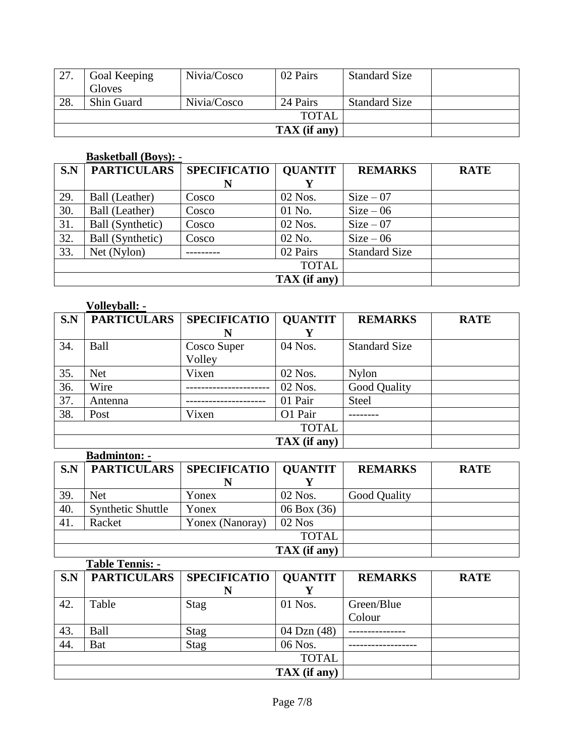|       | Goal Keeping      | Nivia/Cosco             | 02 Pairs | <b>Standard Size</b> |  |
|-------|-------------------|-------------------------|----------|----------------------|--|
|       | Gloves            |                         |          |                      |  |
| 28.   | <b>Shin Guard</b> | Nivia/Cosco             | 24 Pairs | <b>Standard Size</b> |  |
| TOTAL |                   |                         |          |                      |  |
|       |                   | $\mathbf{TAX}$ (if any) |          |                      |  |

#### **Basketball (Boys):** -

| S.N | <b>PARTICULARS</b> | <b>SPECIFICATIO</b> | <b>QUANTIT</b> | <b>REMARKS</b>       | <b>RATE</b> |
|-----|--------------------|---------------------|----------------|----------------------|-------------|
|     |                    | N                   |                |                      |             |
| 29. | Ball (Leather)     | Cosco               | 02 Nos.        | $Size - 07$          |             |
| 30. | Ball (Leather)     | Cosco               | 01 No.         | $Size - 06$          |             |
| 31. | Ball (Synthetic)   | Cosco               | 02 Nos.        | $Size - 07$          |             |
| 32. | Ball (Synthetic)   | Cosco               | 02 No.         | $Size - 06$          |             |
| 33. | Net (Nylon)        |                     | 02 Pairs       | <b>Standard Size</b> |             |
|     |                    |                     |                |                      |             |
|     |                    | TAX (if any)        |                |                      |             |

#### **Volleyball: -**

| S.N | <b>PARTICULARS</b> | <b>SPECIFICATIO</b> | <b>QUANTIT</b> | <b>REMARKS</b>       | <b>RATE</b> |
|-----|--------------------|---------------------|----------------|----------------------|-------------|
|     |                    |                     |                |                      |             |
| 34. | Ball               | Cosco Super         | 04 Nos.        | <b>Standard Size</b> |             |
|     |                    | Volley              |                |                      |             |
| 35. | <b>Net</b>         | Vixen               | 02 Nos.        | Nylon                |             |
| 36. | Wire               |                     | 02 Nos.        | Good Quality         |             |
| 37. | Antenna            |                     | 01 Pair        | <b>Steel</b>         |             |
| 38. | Post               | Vixen               | O1 Pair        |                      |             |
|     |                    |                     |                |                      |             |
|     |                    | TAX (if any)        |                |                      |             |

## **Badminton: -**

| S.N | <b>PARTICULARS</b>       | SPECIFICATIO   QUANTIT  |                 | <b>REMARKS</b> | <b>RATE</b> |
|-----|--------------------------|-------------------------|-----------------|----------------|-------------|
|     |                          |                         |                 |                |             |
| 39. | <b>Net</b>               | Yonex                   | 02 Nos.         | Good Quality   |             |
| 40. | <b>Synthetic Shuttle</b> | Yonex                   | $06$ Box $(36)$ |                |             |
| 41. | Racket                   | Yonex (Nanoray)         | $02$ Nos        |                |             |
|     |                          |                         |                 |                |             |
|     |                          | $\mathbf{TAX}$ (if any) |                 |                |             |

#### **Table Tennis: - S.N PARTICULARS SPECIFICATIO N QUANTIT**  $\frac{Y}{01 \text{ Nos.}}$ **REMARKS RATE** 42. Table Stag 01 Nos. Green/Blue Colour 43. Ball Stag 04 Dzn (48) --------------- 44. Bat Stag 06 Nos. ------------------ TOTAL **TAX (if any)**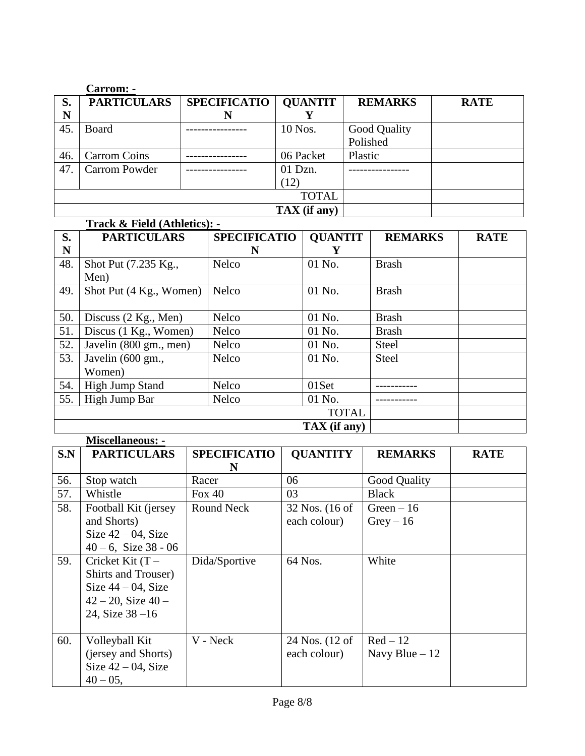|              | <b>Carrom: -</b>     |                     |                |                     |             |
|--------------|----------------------|---------------------|----------------|---------------------|-------------|
| S.           | <b>PARTICULARS</b>   | <b>SPECIFICATIO</b> | <b>QUANTIT</b> | <b>REMARKS</b>      | <b>RATE</b> |
| N            |                      | N                   |                |                     |             |
| 45.          | <b>Board</b>         |                     | 10 Nos.        | <b>Good Quality</b> |             |
|              |                      |                     |                | Polished            |             |
| 46.          | <b>Carrom Coins</b>  |                     | 06 Packet      | Plastic             |             |
| 47.          | <b>Carrom Powder</b> |                     | 01 Dzn.        |                     |             |
|              |                      |                     | (12)           |                     |             |
| <b>TOTAL</b> |                      |                     |                |                     |             |
|              |                      | TAX (if any)        |                |                     |             |

|     | Track & Field (Athletics): - |                     |                |                |             |  |  |
|-----|------------------------------|---------------------|----------------|----------------|-------------|--|--|
| S.  | <b>PARTICULARS</b>           | <b>SPECIFICATIO</b> | <b>QUANTIT</b> | <b>REMARKS</b> | <b>RATE</b> |  |  |
| N   |                              | N                   | Y              |                |             |  |  |
| 48. | Shot Put (7.235 Kg.,         | Nelco               | 01 No.         | <b>Brash</b>   |             |  |  |
|     | Men)                         |                     |                |                |             |  |  |
| 49. | Shot Put (4 Kg., Women)      | Nelco               | 01 No.         | <b>Brash</b>   |             |  |  |
|     |                              |                     |                |                |             |  |  |
| 50. | Discuss (2 Kg., Men)         | <b>Nelco</b>        | 01 No.         | <b>Brash</b>   |             |  |  |
| 51. | Discus (1 Kg., Women)        | <b>Nelco</b>        | 01 No.         | <b>Brash</b>   |             |  |  |
| 52. | Javelin (800 gm., men)       | <b>Nelco</b>        | 01 No.         | <b>Steel</b>   |             |  |  |
| 53. | Javelin (600 gm.,            | <b>Nelco</b>        | $01$ No.       | <b>Steel</b>   |             |  |  |
|     | Women)                       |                     |                |                |             |  |  |
| 54. | <b>High Jump Stand</b>       | Nelco               | 01Set          |                |             |  |  |
| 55. | High Jump Bar                | <b>Nelco</b>        | 01 No.         |                |             |  |  |
|     |                              |                     |                |                |             |  |  |
|     |                              | TAX (if any)        |                |                |             |  |  |

|     | <b>Miscellaneous: -</b>                                                                                                     |                          |                                  |                             |             |
|-----|-----------------------------------------------------------------------------------------------------------------------------|--------------------------|----------------------------------|-----------------------------|-------------|
| S.N | <b>PARTICULARS</b>                                                                                                          | <b>SPECIFICATIO</b><br>N | <b>QUANTITY</b>                  | <b>REMARKS</b>              | <b>RATE</b> |
| 56. | Stop watch                                                                                                                  | Racer                    | 06                               | Good Quality                |             |
| 57. | Whistle                                                                                                                     | Fox $40$                 | 03                               | <b>Black</b>                |             |
| 58. | Football Kit (jersey<br>and Shorts)<br>Size $42 - 04$ , Size<br>$40 - 6$ , Size 38 - 06                                     | Round Neck               | $32$ Nos. (16 of<br>each colour) | Green $-16$<br>$Grey - 16$  |             |
| 59. | Cricket Kit $(T -$<br><b>Shirts and Trouser</b> )<br>Size $44 - 04$ , Size<br>$42 - 20$ , Size $40 -$<br>24, Size $38 - 16$ | Dida/Sportive            | 64 Nos.                          | White                       |             |
| 60. | Volleyball Kit<br>(jersey and Shorts)<br>Size $42 - 04$ , Size<br>$40 - 05$ ,                                               | V - Neck                 | 24 Nos. (12 of<br>each colour)   | $Red-12$<br>Navy Blue $-12$ |             |